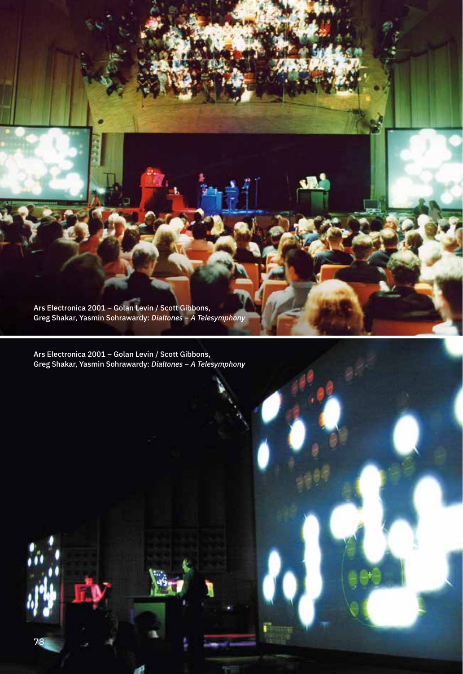Ars Electronica 2001 – Golan Levin / Scott Gibbons, Greg Shakar, Yasmin Sohrawardy: *Dialtones – A Telesymphony*

Ars Electronica 2001 – Golan Levin / Scott Gibbons, Greg Shakar, Yasmin Sohrawardy: *Dialtones – A Telesymphony*

78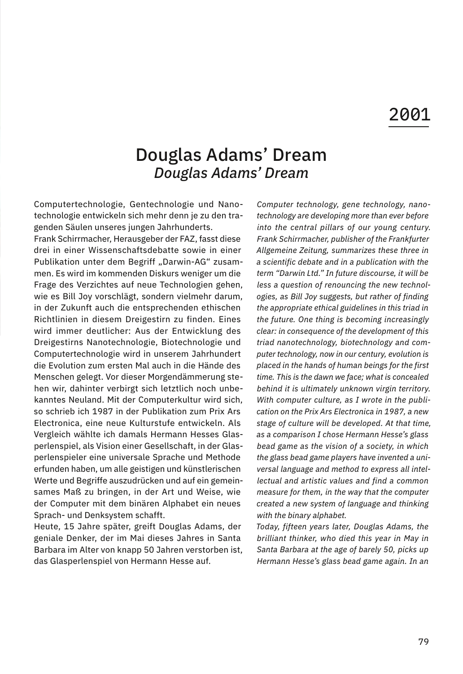## Douglas Adams' Dream *Douglas Adams' Dream*

Computertechnologie, Gentechnologie und Nanotechnologie entwickeln sich mehr denn je zu den tragenden Säulen unseres jungen Jahrhunderts.

Frank Schirrmacher, Herausgeber der FAZ, fasst diese drei in einer Wissenschaftsdebatte sowie in einer Publikation unter dem Begriff "Darwin-AG" zusammen. Es wird im kommenden Diskurs weniger um die Frage des Verzichtes auf neue Technologien gehen, wie es Bill Joy vorschlägt, sondern vielmehr darum, in der Zukunft auch die entsprechenden ethischen Richtlinien in diesem Dreigestirn zu finden. Eines wird immer deutlicher: Aus der Entwicklung des Dreigestirns Nanotechnologie, Biotechnologie und Computertechnologie wird in unserem Jahrhundert die Evolution zum ersten Mal auch in die Hände des Menschen gelegt. Vor dieser Morgendämmerung stehen wir, dahinter verbirgt sich letztlich noch unbekanntes Neuland. Mit der Computerkultur wird sich, so schrieb ich 1987 in der Publikation zum Prix Ars Electronica, eine neue Kulturstufe entwickeln. Als Vergleich wählte ich damals Hermann Hesses Glasperlenspiel, als Vision einer Gesellschaft, in der Glasperlenspieler eine universale Sprache und Methode erfunden haben, um alle geistigen und künstlerischen Werte und Begriffe auszudrücken und auf ein gemeinsames Maß zu bringen, in der Art und Weise, wie der Computer mit dem binären Alphabet ein neues Sprach- und Denksystem schafft.

Heute, 15 Jahre später, greift Douglas Adams, der geniale Denker, der im Mai dieses Jahres in Santa Barbara im Alter von knapp 50 Jahren verstorben ist, das Glasperlenspiel von Hermann Hesse auf.

*Computer technology, gene technology, nanotechnology are developing more than ever before into the central pillars of our young century. Frank Schirrmacher, publisher of the Frankfurter Allgemeine Zeitung, summarizes these three in a scientific debate and in a publication with the term "Darwin Ltd." In future discourse, it will be less a question of renouncing the new technologies, as Bill Joy suggests, but rather of finding the appropriate ethical guidelines in this triad in the future. One thing is becoming increasingly clear: in consequence of the development of this triad nanotechnology, biotechnology and computer technology, now in our century, evolution is placed in the hands of human beings for the first time. This is the dawn we face; what is concealed behind it is ultimately unknown virgin territory. With computer culture, as I wrote in the publication on the Prix Ars Electronica in 1987, a new stage of culture will be developed. At that time, as a comparison I chose Hermann Hesse's glass bead game as the vision of a society, in which the glass bead game players have invented a universal language and method to express all intellectual and artistic values and find a common measure for them, in the way that the computer created a new system of language and thinking with the binary alphabet.* 

*Today, fifteen years later, Douglas Adams, the brilliant thinker, who died this year in May in Santa Barbara at the age of barely 50, picks up Hermann Hesse's glass bead game again. In an*